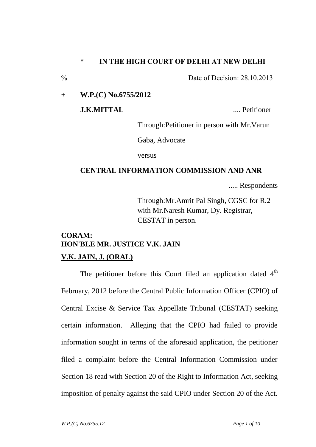# \* **IN THE HIGH COURT OF DELHI AT NEW DELHI**

 $\%$  Date of Decision: 28.10.2013

**+ W.P.(C) No.6755/2012**

**J.K.MITTAL CONSUMING THE EXAMPLE 2008 CONSUMING THE EXAMPLE 2008 CONSUMING THE EXAMPLE 2008** 

Through:Petitioner in person with Mr.Varun

Gaba, Advocate

versus

# **CENTRAL INFORMATION COMMISSION AND ANR**

..... Respondents

Through:Mr.Amrit Pal Singh, CGSC for R.2 with Mr.Naresh Kumar, Dy. Registrar, CESTAT in person.

# **CORAM: HON'BLE MR. JUSTICE V.K. JAIN V.K. JAIN, J. (ORAL)**

The petitioner before this Court filed an application dated  $4<sup>th</sup>$ February, 2012 before the Central Public Information Officer (CPIO) of Central Excise & Service Tax Appellate Tribunal (CESTAT) seeking certain information. Alleging that the CPIO had failed to provide information sought in terms of the aforesaid application, the petitioner filed a complaint before the Central Information Commission under Section 18 read with Section 20 of the Right to Information Act, seeking imposition of penalty against the said CPIO under Section 20 of the Act.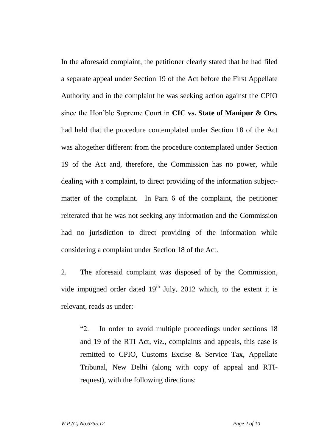In the aforesaid complaint, the petitioner clearly stated that he had filed a separate appeal under Section 19 of the Act before the First Appellate Authority and in the complaint he was seeking action against the CPIO since the Hon'ble Supreme Court in **CIC vs. State of Manipur & Ors.**  had held that the procedure contemplated under Section 18 of the Act was altogether different from the procedure contemplated under Section 19 of the Act and, therefore, the Commission has no power, while dealing with a complaint, to direct providing of the information subjectmatter of the complaint. In Para 6 of the complaint, the petitioner reiterated that he was not seeking any information and the Commission had no jurisdiction to direct providing of the information while considering a complaint under Section 18 of the Act.

2. The aforesaid complaint was disposed of by the Commission, vide impugned order dated  $19<sup>th</sup>$  July, 2012 which, to the extent it is relevant, reads as under:-

"2. In order to avoid multiple proceedings under sections 18 and 19 of the RTI Act, viz., complaints and appeals, this case is remitted to CPIO, Customs Excise & Service Tax, Appellate Tribunal, New Delhi (along with copy of appeal and RTIrequest), with the following directions: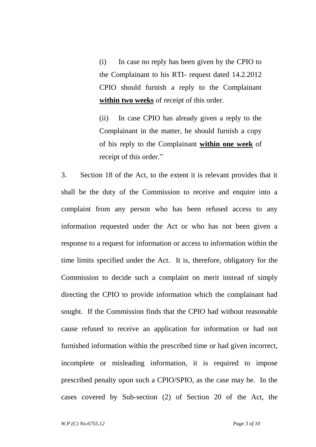(i) In case no reply has been given by the CPIO to the Complainant to his RTI- request dated 14.2.2012 CPIO should furnish a reply to the Complainant **within two weeks** of receipt of this order.

(ii) In case CPIO has already given a reply to the Complainant in the matter, he should furnish a copy of his reply to the Complainant **within one week** of receipt of this order."

3. Section 18 of the Act, to the extent it is relevant provides that it shall be the duty of the Commission to receive and enquire into a complaint from any person who has been refused access to any information requested under the Act or who has not been given a response to a request for information or access to information within the time limits specified under the Act. It is, therefore, obligatory for the Commission to decide such a complaint on merit instead of simply directing the CPIO to provide information which the complainant had sought. If the Commission finds that the CPIO had without reasonable cause refused to receive an application for information or had not furnished information within the prescribed time or had given incorrect, incomplete or misleading information, it is required to impose prescribed penalty upon such a CPIO/SPIO, as the case may be. In the cases covered by Sub-section (2) of Section 20 of the Act, the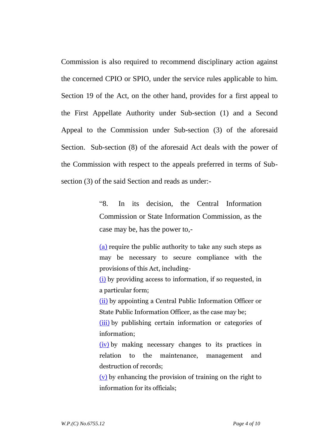Commission is also required to recommend disciplinary action against the concerned CPIO or SPIO, under the service rules applicable to him. Section 19 of the Act, on the other hand, provides for a first appeal to the First Appellate Authority under Sub-section (1) and a Second Appeal to the Commission under Sub-section (3) of the aforesaid Section. Sub-section (8) of the aforesaid Act deals with the power of the Commission with respect to the appeals preferred in terms of Subsection (3) of the said Section and reads as under:-

> "8. In its decision, the Central Information Commission or State Information Commission, as the case may be, has the power to,-

> [\(a\)](http://indiankanoon.org/doc/339761/) require the public authority to take any such steps as may be necessary to secure compliance with the provisions of this Act, including-

> [\(i\)](http://indiankanoon.org/doc/909482/) by providing access to information, if so requested, in a particular form;

> [\(ii\)](http://indiankanoon.org/doc/15278/) by appointing a Central Public Information Officer or State Public Information Officer, as the case may be;

> [\(iii\)](http://indiankanoon.org/doc/41651/) by publishing certain information or categories of information;

> [\(iv\)](http://indiankanoon.org/doc/522746/) by making necessary changes to its practices in relation to the maintenance, management and destruction of records;

> [\(v\)](http://indiankanoon.org/doc/1044102/) by enhancing the provision of training on the right to information for its officials;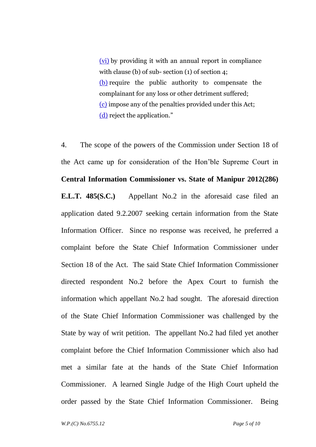[\(vi\)](http://indiankanoon.org/doc/1665734/) by providing it with an annual report in compliance with clause (b) of sub- section (1) of section 4; [\(b\)](http://indiankanoon.org/doc/397985/) require the public authority to compensate the complainant for any loss or other detriment suffered; [\(c\)](http://indiankanoon.org/doc/1231381/) impose any of the penalties provided under this Act; [\(d\)](http://indiankanoon.org/doc/974892/) reject the application."

4. The scope of the powers of the Commission under Section 18 of the Act came up for consideration of the Hon'ble Supreme Court in **Central Information Commissioner vs. State of Manipur 2012(286) E.L.T. 485(S.C.)** Appellant No.2 in the aforesaid case filed an application dated 9.2.2007 seeking certain information from the State Information Officer. Since no response was received, he preferred a complaint before the State Chief Information Commissioner under Section 18 of the Act. The said State Chief Information Commissioner directed respondent No.2 before the Apex Court to furnish the information which appellant No.2 had sought. The aforesaid direction of the State Chief Information Commissioner was challenged by the State by way of writ petition. The appellant No.2 had filed yet another complaint before the Chief Information Commissioner which also had met a similar fate at the hands of the State Chief Information Commissioner. A learned Single Judge of the High Court upheld the order passed by the State Chief Information Commissioner. Being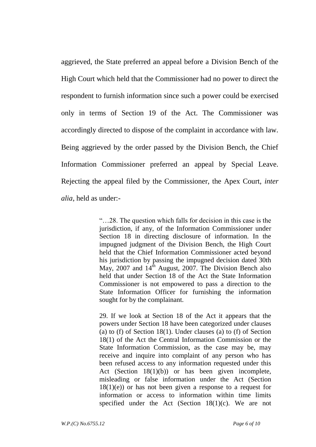aggrieved, the State preferred an appeal before a Division Bench of the High Court which held that the Commissioner had no power to direct the respondent to furnish information since such a power could be exercised only in terms of Section 19 of the Act. The Commissioner was accordingly directed to dispose of the complaint in accordance with law. Being aggrieved by the order passed by the Division Bench, the Chief Information Commissioner preferred an appeal by Special Leave. Rejecting the appeal filed by the Commissioner, the Apex Court, *inter alia*, held as under:-

> "…28. The question which falls for decision in this case is the jurisdiction, if any, of the Information Commissioner under Section 18 in directing disclosure of information. In the impugned judgment of the Division Bench, the High Court held that the Chief Information Commissioner acted beyond his jurisdiction by passing the impugned decision dated 30th May, 2007 and  $14<sup>th</sup>$  August, 2007. The Division Bench also held that under Section 18 of the Act the State Information Commissioner is not empowered to pass a direction to the State Information Officer for furnishing the information sought for by the complainant.

> 29. If we look at Section 18 of the Act it appears that the powers under Section 18 have been categorized under clauses (a) to (f) of Section 18(1). Under clauses (a) to (f) of Section 18(1) of the Act the Central Information Commission or the State Information Commission, as the case may be, may receive and inquire into complaint of any person who has been refused access to any information requested under this Act (Section 18(1)(b)) or has been given incomplete, misleading or false information under the Act (Section  $18(1)(e)$  or has not been given a response to a request for information or access to information within time limits specified under the Act (Section  $18(1)(c)$ . We are not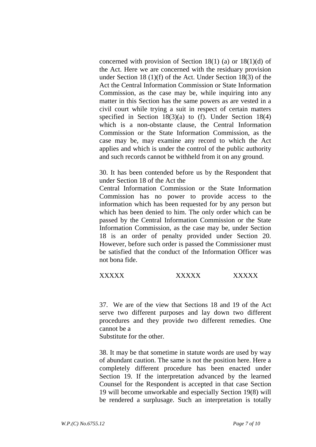concerned with provision of Section 18(1) (a) or 18(1)(d) of the Act. Here we are concerned with the residuary provision under Section 18 (1)(f) of the Act. Under Section 18(3) of the Act the Central Information Commission or State Information Commission, as the case may be, while inquiring into any matter in this Section has the same powers as are vested in a civil court while trying a suit in respect of certain matters specified in Section 18(3)(a) to (f). Under Section 18(4) which is a non-obstante clause, the Central Information Commission or the State Information Commission, as the case may be, may examine any record to which the Act applies and which is under the control of the public authority and such records cannot be withheld from it on any ground.

30. It has been contended before us by the Respondent that under Section 18 of the Act the

Central Information Commission or the State Information Commission has no power to provide access to the information which has been requested for by any person but which has been denied to him. The only order which can be passed by the Central Information Commission or the State Information Commission, as the case may be, under Section 18 is an order of penalty provided under Section 20. However, before such order is passed the Commissioner must be satisfied that the conduct of the Information Officer was not bona fide.

# XXXXX XXXXX XXXXX

37. We are of the view that Sections 18 and 19 of the Act serve two different purposes and lay down two different procedures and they provide two different remedies. One cannot be a

Substitute for the other.

38. It may be that sometime in statute words are used by way of abundant caution. The same is not the position here. Here a completely different procedure has been enacted under Section 19. If the interpretation advanced by the learned Counsel for the Respondent is accepted in that case Section 19 will become unworkable and especially Section 19(8) will be rendered a surplusage. Such an interpretation is totally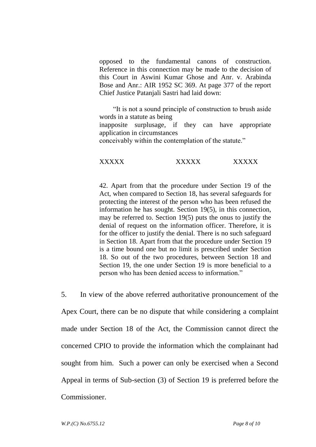opposed to the fundamental canons of construction. Reference in this connection may be made to the decision of this Court in Aswini Kumar Ghose and Anr. v. Arabinda Bose and Anr.: AIR 1952 SC 369. At page 377 of the report Chief Justice Patanjali Sastri had laid down:

 "It is not a sound principle of construction to brush aside words in a statute as being inapposite surplusage, if they can have appropriate application in circumstances conceivably within the contemplation of the statute."

#### XXXXX XXXXX XXXXX

42. Apart from that the procedure under Section 19 of the Act, when compared to Section 18, has several safeguards for protecting the interest of the person who has been refused the information he has sought. Section 19(5), in this connection, may be referred to. Section 19(5) puts the onus to justify the denial of request on the information officer. Therefore, it is for the officer to justify the denial. There is no such safeguard in Section 18. Apart from that the procedure under Section 19 is a time bound one but no limit is prescribed under Section 18. So out of the two procedures, between Section 18 and Section 19, the one under Section 19 is more beneficial to a person who has been denied access to information."

5. In view of the above referred authoritative pronouncement of the Apex Court, there can be no dispute that while considering a complaint made under Section 18 of the Act, the Commission cannot direct the concerned CPIO to provide the information which the complainant had sought from him. Such a power can only be exercised when a Second Appeal in terms of Sub-section (3) of Section 19 is preferred before the Commissioner.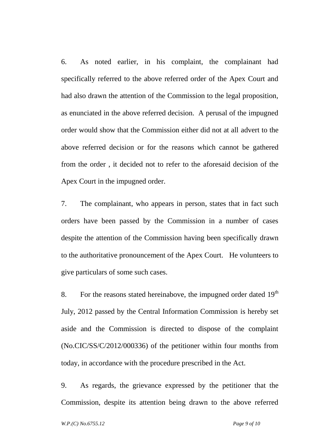6. As noted earlier, in his complaint, the complainant had specifically referred to the above referred order of the Apex Court and had also drawn the attention of the Commission to the legal proposition, as enunciated in the above referred decision. A perusal of the impugned order would show that the Commission either did not at all advert to the above referred decision or for the reasons which cannot be gathered from the order , it decided not to refer to the aforesaid decision of the Apex Court in the impugned order.

7. The complainant, who appears in person, states that in fact such orders have been passed by the Commission in a number of cases despite the attention of the Commission having been specifically drawn to the authoritative pronouncement of the Apex Court. He volunteers to give particulars of some such cases.

8. For the reasons stated hereinabove, the impugned order dated  $19<sup>th</sup>$ July, 2012 passed by the Central Information Commission is hereby set aside and the Commission is directed to dispose of the complaint (No.CIC/SS/C/2012/000336) of the petitioner within four months from today, in accordance with the procedure prescribed in the Act.

9. As regards, the grievance expressed by the petitioner that the Commission, despite its attention being drawn to the above referred